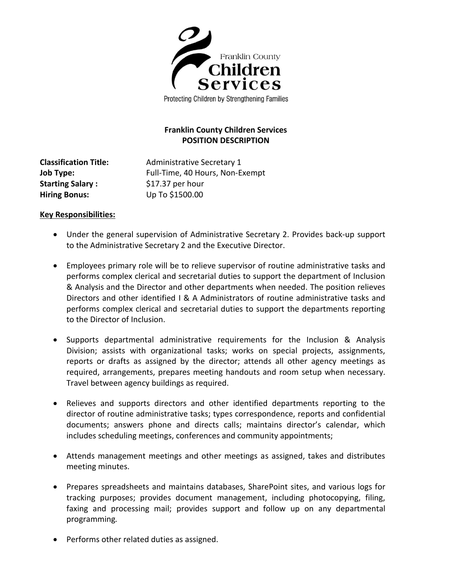

Protecting Children by Strengthening Families

# **Franklin County Children Services POSITION DESCRIPTION**

**Classification Title:** Administrative Secretary 1 **Job Type:** Full-Time, 40 Hours, Non-Exempt **Starting Salary :** \$17.37 per hour **Hiring Bonus:** Up To \$1500.00

## **Key Responsibilities:**

- Under the general supervision of Administrative Secretary 2. Provides back-up support to the Administrative Secretary 2 and the Executive Director.
- Employees primary role will be to relieve supervisor of routine administrative tasks and performs complex clerical and secretarial duties to support the department of Inclusion & Analysis and the Director and other departments when needed. The position relieves Directors and other identified I & A Administrators of routine administrative tasks and performs complex clerical and secretarial duties to support the departments reporting to the Director of Inclusion.
- Supports departmental administrative requirements for the Inclusion & Analysis Division; assists with organizational tasks; works on special projects, assignments, reports or drafts as assigned by the director; attends all other agency meetings as required, arrangements, prepares meeting handouts and room setup when necessary. Travel between agency buildings as required.
- Relieves and supports directors and other identified departments reporting to the director of routine administrative tasks; types correspondence, reports and confidential documents; answers phone and directs calls; maintains director's calendar, which includes scheduling meetings, conferences and community appointments;
- Attends management meetings and other meetings as assigned, takes and distributes meeting minutes.
- Prepares spreadsheets and maintains databases, SharePoint sites, and various logs for tracking purposes; provides document management, including photocopying, filing, faxing and processing mail; provides support and follow up on any departmental programming*.*
- Performs other related duties as assigned.